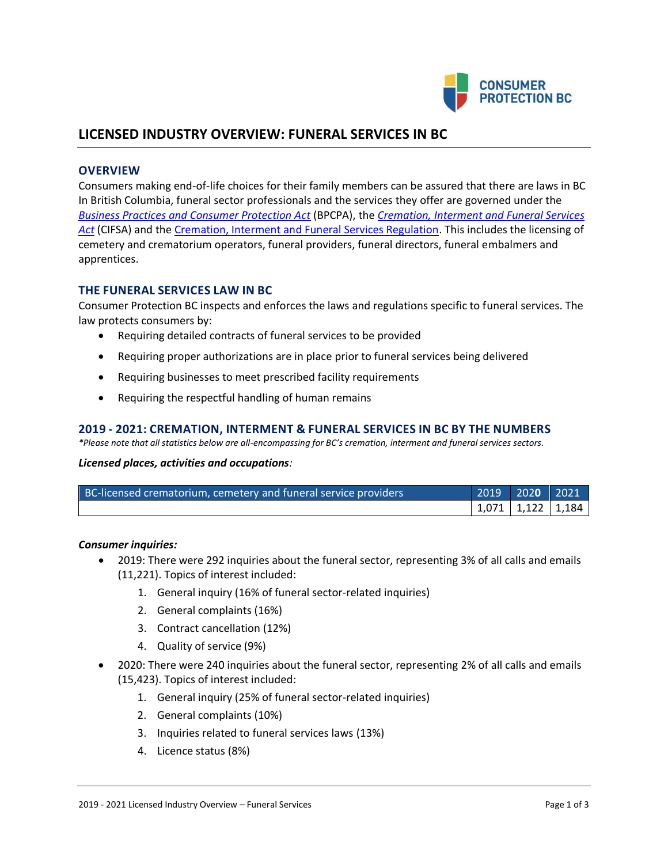

# **LICENSED INDUSTRY OVERVIEW: FUNERAL SERVICES IN BC**

## **OVERVIEW**

Consumers making end-of-life choices for their family members can be assured that there are laws in BC In British Columbia, funeral sector professionals and the services they offer are governed under the *[Business Practices and Consumer Protection Act](http://www.bclaws.ca/Recon/document/ID/freeside/04002_00)* (BPCPA), the *[Cremation, Interment and Funeral Services](http://www.bclaws.ca/Recon/document/ID/freeside/00_04035_01)  [Act](http://www.bclaws.ca/Recon/document/ID/freeside/00_04035_01)* (CIFSA) and the [Cremation, Interment and Funeral Services Regulation.](http://www.bclaws.ca/EPLibraries/bclaws_new/document/ID/freeside/298_2004) This includes the licensing of cemetery and crematorium operators, funeral providers, funeral directors, funeral embalmers and apprentices.

# **THE FUNERAL SERVICES LAW IN BC**

Consumer Protection BC inspects and enforces the laws and regulations specific to funeral services. The law protects consumers by:

- Requiring detailed contracts of funeral services to be provided
- Requiring proper authorizations are in place prior to funeral services being delivered
- Requiring businesses to meet prescribed facility requirements
- Requiring the respectful handling of human remains

#### **2019 - 2021: CREMATION, INTERMENT & FUNERAL SERVICES IN BC BY THE NUMBERS**

*\*Please note that all statistics below are all-encompassing for BC's cremation, interment and funeral services sectors.*

#### *Licensed places, activities and occupations:*

| BC-licensed crematorium, cemetery and funeral service providers | 2019   202 <b>0</b>   2021 <sup> </sup> |  |
|-----------------------------------------------------------------|-----------------------------------------|--|
|                                                                 | 1,071   1,122   1,184                   |  |

#### *Consumer inquiries:*

- 2019: There were 292 inquiries about the funeral sector, representing 3% of all calls and emails (11,221). Topics of interest included:
	- 1. General inquiry (16% of funeral sector-related inquiries)
	- 2. General complaints (16%)
	- 3. Contract cancellation (12%)
	- 4. Quality of service (9%)
- 2020: There were 240 inquiries about the funeral sector, representing 2% of all calls and emails (15,423). Topics of interest included:
	- 1. General inquiry (25% of funeral sector-related inquiries)
	- 2. General complaints (10%)
	- 3. Inquiries related to funeral services laws (13%)
	- 4. Licence status (8%)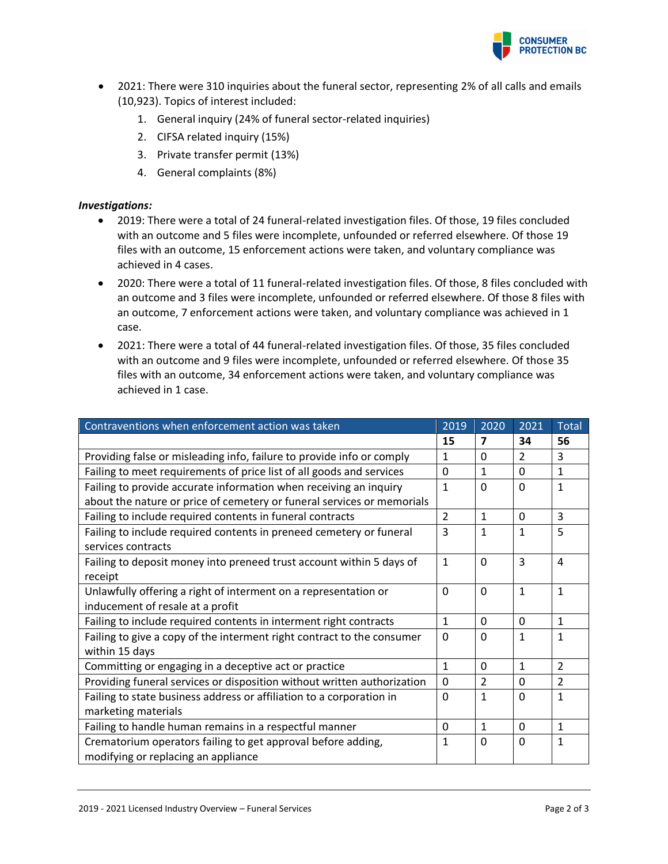

- 2021: There were 310 inquiries about the funeral sector, representing 2% of all calls and emails (10,923). Topics of interest included:
	- 1. General inquiry (24% of funeral sector-related inquiries)
	- 2. CIFSA related inquiry (15%)
	- 3. Private transfer permit (13%)
	- 4. General complaints (8%)

## *Investigations:*

- 2019: There were a total of 24 funeral-related investigation files. Of those, 19 files concluded with an outcome and 5 files were incomplete, unfounded or referred elsewhere. Of those 19 files with an outcome, 15 enforcement actions were taken, and voluntary compliance was achieved in 4 cases.
- 2020: There were a total of 11 funeral-related investigation files. Of those, 8 files concluded with an outcome and 3 files were incomplete, unfounded or referred elsewhere. Of those 8 files with an outcome, 7 enforcement actions were taken, and voluntary compliance was achieved in 1 case.
- 2021: There were a total of 44 funeral-related investigation files. Of those, 35 files concluded with an outcome and 9 files were incomplete, unfounded or referred elsewhere. Of those 35 files with an outcome, 34 enforcement actions were taken, and voluntary compliance was achieved in 1 case.

| Contraventions when enforcement action was taken                                                    | 2019          | 2020           | 2021           | Total          |
|-----------------------------------------------------------------------------------------------------|---------------|----------------|----------------|----------------|
|                                                                                                     | 15            | 7              | 34             | 56             |
| Providing false or misleading info, failure to provide info or comply                               | 1             | $\Omega$       | $\overline{2}$ | 3              |
| Failing to meet requirements of price list of all goods and services                                | $\mathbf 0$   | $\mathbf{1}$   | $\Omega$       | $\mathbf{1}$   |
| Failing to provide accurate information when receiving an inquiry                                   | 1             | $\Omega$       | $\Omega$       | $\mathbf{1}$   |
| about the nature or price of cemetery or funeral services or memorials                              |               |                |                |                |
| Failing to include required contents in funeral contracts                                           | $\mathcal{P}$ | $\mathbf{1}$   | $\Omega$       | 3              |
| Failing to include required contents in preneed cemetery or funeral<br>services contracts           | 3             | $\mathbf{1}$   | 1              | 5              |
| Failing to deposit money into preneed trust account within 5 days of<br>receipt                     | $\mathbf{1}$  | $\Omega$       | 3              | 4              |
| Unlawfully offering a right of interment on a representation or<br>inducement of resale at a profit | $\Omega$      | $\Omega$       | 1              | 1              |
| Failing to include required contents in interment right contracts                                   | 1             | $\Omega$       | $\Omega$       | $\mathbf{1}$   |
| Failing to give a copy of the interment right contract to the consumer<br>within 15 days            | $\Omega$      | $\Omega$       | $\mathbf{1}$   | $\mathbf{1}$   |
| Committing or engaging in a deceptive act or practice                                               | $\mathbf{1}$  | 0              | $\mathbf{1}$   | $\overline{2}$ |
| Providing funeral services or disposition without written authorization                             | $\Omega$      | $\overline{2}$ | 0              | $\overline{2}$ |
| Failing to state business address or affiliation to a corporation in                                | $\Omega$      | $\mathbf{1}$   | $\Omega$       | $\mathbf{1}$   |
| marketing materials                                                                                 |               |                |                |                |
| Failing to handle human remains in a respectful manner                                              | $\Omega$      | $\mathbf{1}$   | $\Omega$       | $\mathbf{1}$   |
| Crematorium operators failing to get approval before adding,                                        | 1             | $\Omega$       | $\Omega$       | $\mathbf{1}$   |
| modifying or replacing an appliance                                                                 |               |                |                |                |